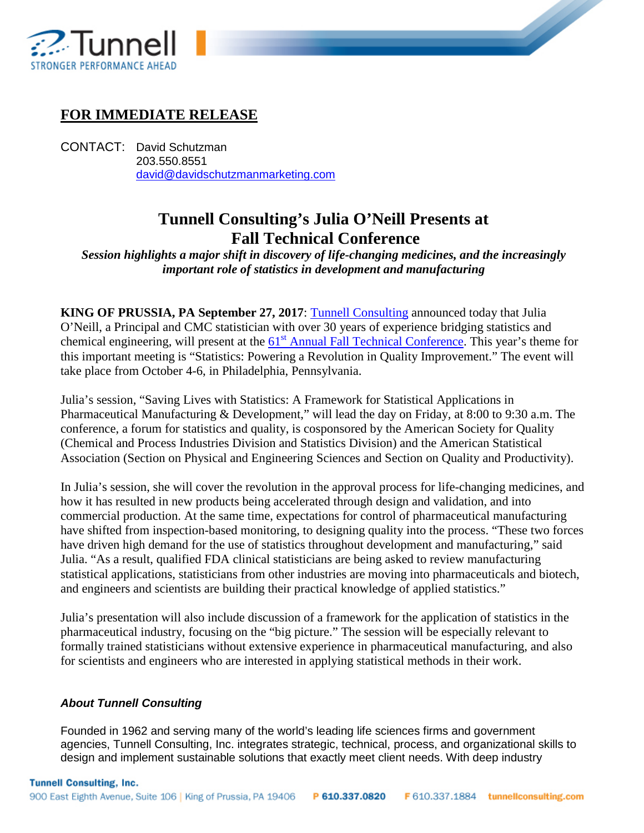

## **FOR IMMEDIATE RELEASE**

CONTACT: David Schutzman 203.550.8551 [david@davidschutzmanmarketing.com](mailto:david@davidschutzmanmarketing.com)

## **Tunnell Consulting's Julia O'Neill Presents at Fall Technical Conference**

**September 1979** 

*Session highlights a major shift in discovery of life-changing medicines, and the increasingly important role of statistics in development and manufacturing*

**KING OF PRUSSIA, PA September 27, 2017**: [Tunnell Consulting](https://www.tunnellconsulting.com/) announced today that Julia O'Neill, a Principal and CMC statistician with over 30 years of experience bridging statistics and chemical engineering, will present at the  $61<sup>st</sup>$  [Annual Fall Technical Conference.](http://www.falltechnicalconference.org/) This year's theme for this important meeting is "Statistics: Powering a Revolution in Quality Improvement." The event will take place from October 4-6, in Philadelphia, Pennsylvania.

Julia's session, "Saving Lives with Statistics: A Framework for Statistical Applications in Pharmaceutical Manufacturing & Development," will lead the day on Friday, at 8:00 to 9:30 a.m. The conference, a forum for statistics and quality, is cosponsored by the American Society for Quality (Chemical and Process Industries Division and Statistics Division) and the American Statistical Association (Section on Physical and Engineering Sciences and Section on Quality and Productivity).

In Julia's session, she will cover the revolution in the approval process for life-changing medicines, and how it has resulted in new products being accelerated through design and validation, and into commercial production. At the same time, expectations for control of pharmaceutical manufacturing have shifted from inspection-based monitoring, to designing quality into the process. "These two forces have driven high demand for the use of statistics throughout development and manufacturing," said Julia. "As a result, qualified FDA clinical statisticians are being asked to review manufacturing statistical applications, statisticians from other industries are moving into pharmaceuticals and biotech, and engineers and scientists are building their practical knowledge of applied statistics."

Julia's presentation will also include discussion of a framework for the application of statistics in the pharmaceutical industry, focusing on the "big picture." The session will be especially relevant to formally trained statisticians without extensive experience in pharmaceutical manufacturing, and also for scientists and engineers who are interested in applying statistical methods in their work.

## *About Tunnell Consulting*

Founded in 1962 and serving many of the world's leading life sciences firms and government agencies, Tunnell Consulting, Inc. integrates strategic, technical, process, and organizational skills to design and implement sustainable solutions that exactly meet client needs. With deep industry